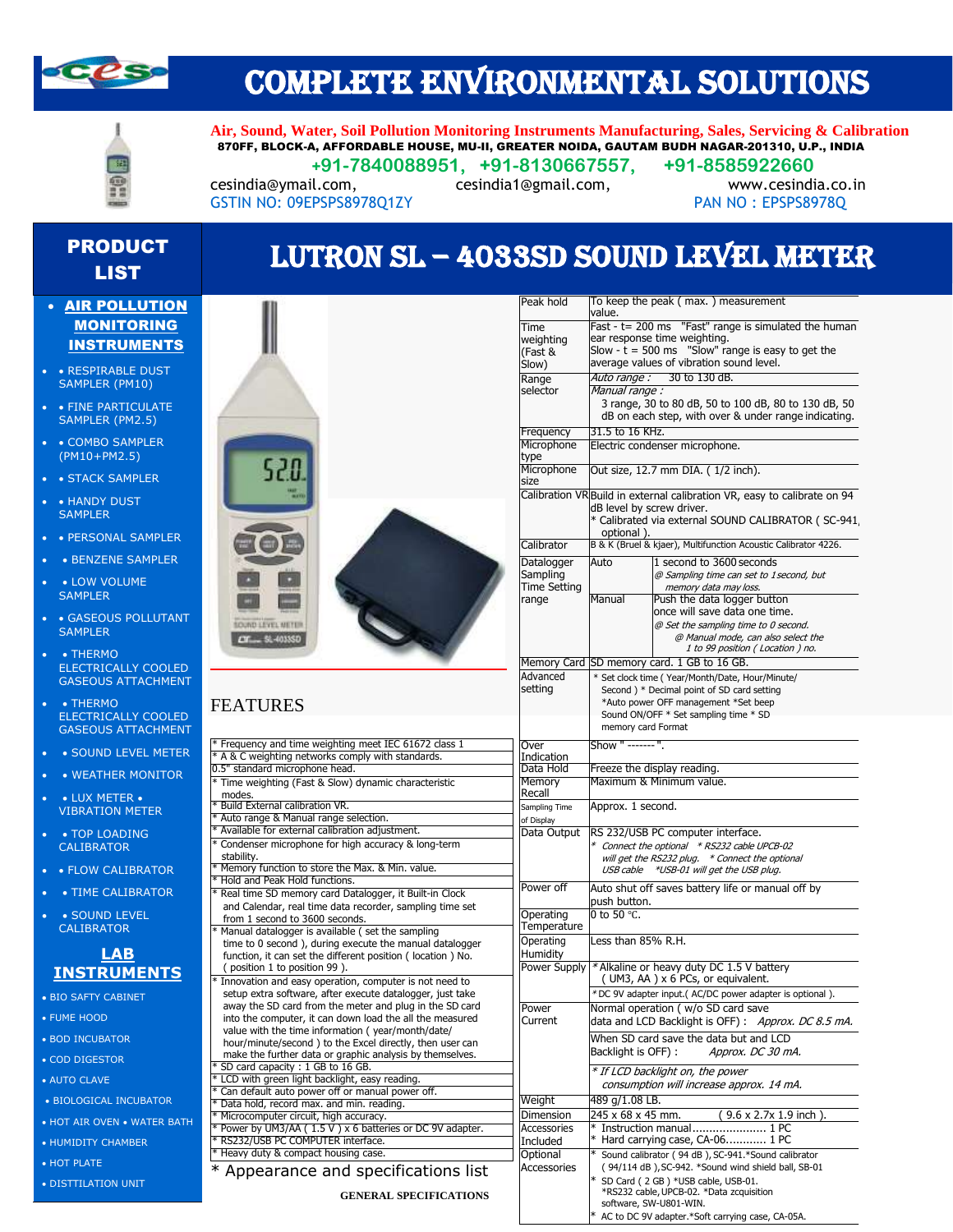

## COMPLETE ENVIRONMENTAL SOLUTIONS

丽

**Air, Sound, Water, Soil Pollution Monitoring Instruments Manufacturing, Sales, Servicing & Calibration** 870FF, BLOCK-A, AFFORDABLE HOUSE, MU-II, GREATER NOIDA, GAUTAM BUDH NAGAR-201310, U.P., INDIA  **+91-7840088951, +91-8130667557, +91-8585922660**

Fast - t= 200 ms "Fast" range is simulated the human

3 range, 30 to 80 dB, 50 to 100 dB, 80 to 130 dB, 50 dB on each step, with over & under range indicating.

Slow  $-t = 500$  ms "Slow" range is easy to get the average values of vibration sound level.

cesindia@ymail.com, cesindia1@gmail.com, www.cesindia.co.in GSTIN NO: 09EPSPS8978Q1ZY PAN NO : EPSPS8978Q

Time weighting (Fast & Slow)

Range selector

# PRODUCT

### • AIR POLLUTION **MONITORING** INSTRUMENTS

- • RESPIRABLE DUST SAMPLER (PM10)
- FINE PARTICULATE SAMPLER (PM2.5)
- COMBO SAMPLER (PM10+PM2.5)
- STACK SAMPLER
- HANDY DUST **SAMPLER**
- • PERSONAL SAMPLER
- BENZENE SAMPLER
- LOW VOLUME **SAMPLER**
- GASEOUS POLLUTANT **SAMPLER**
- • THERMO ELECTRICALLY COOLED GASEOUS ATTACHMENT
- • THERMO ELECTRICALLY COOLED GASEOUS ATTACHMENT
- • SOUND LEVEL METER
- WEATHER MONITOR
- LUX METER VIBRATION METER
- TOP LOADING CALIBRATOR
- FLOW CALIBRATOR
- • TIME CALIBRATOR
- SOUND LEVEL CALIBRATOR

#### **LAB INSTRUMENTS**

- BIO SAFTY CABINET
- FUME HOOD
- BOD INCUBATOR
- COD DIGESTOR
- AUTO CLAVE
- BIOLOGICAL INCUBATOR
- HOT AIR OVEN WATER BATH
- HUMIDITY CHAMBER
- HOT PLATE
- DISTTILATION UNIT



| <b>ODUCT</b> |                                      |
|--------------|--------------------------------------|
|              | LUTRON SL - 4033SD SOUND LEVEL METER |
|              |                                      |
| LIST         |                                      |

value.

Manual range :

Peak hold To keep the peak (max.) measurement

ear response time weighting.

Auto range : 30 to 130 dB.

Electric condenser microphone.

Out size, 12.7 mm DIA. ( 1/2 inch).

|                                           |                                               | J range, Jo a<br>dB on each st                     |               |
|-------------------------------------------|-----------------------------------------------|----------------------------------------------------|---------------|
|                                           | Frequency                                     | 31.5 to 16 KHz.                                    |               |
|                                           | Microphone<br>type                            | Electric condens                                   |               |
| 520.                                      | Microphone<br>size                            | Out size, 12.7 n                                   |               |
|                                           | Calibration VR Build in externa               | dB level by scre<br>* Calibrated via<br>optional). |               |
|                                           | Calibrator                                    | B & K (Bruel & kja                                 |               |
|                                           | Datalogger<br>Sampling<br><b>Time Setting</b> | Auto                                               | 1:<br>@       |
| <b>OUND LEYEL METER</b><br>$-51 - 403350$ | range                                         | Manual                                             | Pu<br>on<br>@ |
|                                           | Memory Card SD memory car                     |                                                    |               |
|                                           | Advanced                                      | * Set clock time (                                 |               |
|                                           | setting                                       | Second ) * Dec                                     |               |
| <b>FEATURES</b>                           |                                               | *Auto power O<br>Sound ON/OFF<br>moneyer card E.   |               |
|                                           |                                               |                                                    |               |

| * Frequency and time weighting meet IEC 61672 class 1      |  |  |  |
|------------------------------------------------------------|--|--|--|
| * A & C weighting networks comply with standards.          |  |  |  |
| 0.5" standard microphone head.                             |  |  |  |
| * Time weighting (Fast & Slow) dynamic characteristic      |  |  |  |
| modes.                                                     |  |  |  |
| * Build External calibration VR.                           |  |  |  |
| * Auto range & Manual range selection.                     |  |  |  |
| * Available for external calibration adjustment.           |  |  |  |
| * Condenser microphone for high accuracy & long-term       |  |  |  |
| stability.                                                 |  |  |  |
| * Memory function to store the Max. & Min. value.          |  |  |  |
| * Hold and Peak Hold functions.                            |  |  |  |
| * Real time SD memory card Datalogger, it Built-in Clock   |  |  |  |
| and Calendar, real time data recorder, sampling time set   |  |  |  |
| from 1 second to 3600 seconds.                             |  |  |  |
| * Manual datalogger is available (set the sampling         |  |  |  |
| time to 0 second), during execute the manual datalogger    |  |  |  |
| function, it can set the different position (location) No. |  |  |  |
| (position 1 to position 99).                               |  |  |  |
| * Innovation and easy operation, computer is not need to   |  |  |  |
| setup extra software, after execute datalogger, just take  |  |  |  |
| away the SD card from the meter and plug in the SD card    |  |  |  |
| into the computer, it can down load the all the measured   |  |  |  |
| value with the time information (year/month/date/          |  |  |  |
| hour/minute/second) to the Excel directly, then user can   |  |  |  |
| make the further data or graphic analysis by themselves.   |  |  |  |
| * SD card capacity : 1 GB to 16 GB.                        |  |  |  |
| * LCD with green light backlight, easy reading.            |  |  |  |
| * Can default auto power off or manual power off.          |  |  |  |
| * Data hold, record max. and min. reading.                 |  |  |  |
| * Microcomputer circuit, high accuracy.                    |  |  |  |
| * Power by UM3/AA (1.5 V) x 6 batteries or DC 9V adapter.  |  |  |  |
| * RS232/USB PC COMPUTER interface.                         |  |  |  |

\* Appearance and specifications list

\* Heavy duty & compact housing case

|                                               | Calibration VR Build in external calibration VR, easy to calibrate on 94<br>dB level by screw driver.<br>* Calibrated via external SOUND CALIBRATOR (SC-941<br>optional).                             |
|-----------------------------------------------|-------------------------------------------------------------------------------------------------------------------------------------------------------------------------------------------------------|
| Calibrator                                    | B & K (Bruel & kjaer), Multifunction Acoustic Calibrator 4226.                                                                                                                                        |
| Datalogger<br>Sampling<br><b>Time Setting</b> | 1 second to 3600 seconds<br>Auto<br>@ Sampling time can set to 1 second, but<br>memory data may loss.                                                                                                 |
| range                                         | Push the data logger button<br>Manual<br>once will save data one time.<br>@ Set the sampling time to 0 second.<br>@ Manual mode, can also select the<br>1 to 99 position (Location) no.               |
| Memory Card                                   | SD memory card. 1 GB to 16 GB.                                                                                                                                                                        |
| Advanced<br>setting                           | * Set clock time (Year/Month/Date, Hour/Minute/<br>Second ) * Decimal point of SD card setting<br>*Auto power OFF management *Set beep<br>Sound ON/OFF * Set sampling time * SD<br>memory card Format |
| Over<br>Indication                            | Show " ------- ".                                                                                                                                                                                     |
| Data Hold                                     | Freeze the display reading.                                                                                                                                                                           |
| Memory<br>Recall                              | Maximum & Minimum value.                                                                                                                                                                              |
| Sampling Time<br>of Display                   | Approx. 1 second.                                                                                                                                                                                     |
| Data Output                                   | RS 232/USB PC computer interface.<br>* Connect the optional *RS232 cable UPCB-02<br>will get the RS232 plug. * Connect the optional<br>USB cable<br>*USB-01 will get the USB plug.                    |
| Power off                                     | Auto shut off saves battery life or manual off by<br>push button.                                                                                                                                     |
| Operating<br>Temperature                      | 0 to 50 $\degree$ C.                                                                                                                                                                                  |
| Operating<br>Humidity                         | Less than 85% R.H.                                                                                                                                                                                    |
| Power Supply                                  | * Alkaline or heavy duty DC 1.5 V battery<br>(UM3, AA) x 6 PCs, or equivalent.                                                                                                                        |
|                                               | *DC 9V adapter input.( AC/DC power adapter is optional ).                                                                                                                                             |
| Power<br>Current                              | Normal operation ( w/o SD card save<br>data and LCD Backlight is OFF): Approx. DC 8.5 mA.                                                                                                             |
|                                               | When SD card save the data but and LCD<br>Backlight is OFF):<br>Approx. DC 30 mA.                                                                                                                     |
|                                               | * If LCD backlight on, the power<br>consumption will increase approx. 14 mA.                                                                                                                          |
| Weight                                        | 489 g/1.08 LB.                                                                                                                                                                                        |
| Dimension                                     | 245 x 68 x 45 mm.<br>$(9.6 \times 2.7 \times 1.9 \text{ inch})$ .                                                                                                                                     |
| Accessories                                   | Instruction manual 1 PC                                                                                                                                                                               |
| Included                                      | * Hard carrying case, CA-06 1 PC                                                                                                                                                                      |
| Optional                                      | * Sound calibrator (94 dB), SC-941.*Sound calibrator                                                                                                                                                  |
| <b>Accessories</b>                            | (94/114 dB), SC-942. *Sound wind shield ball, SB-01<br>* SD Card (2 GB) *USB cable, USB-01.<br>*RS232 cable, UPCB-02, *Data zcquisition                                                               |

software, SW-U801-WIN.

AC to DC 9V adapter.\*Soft carrying case, CA-05A.

**GENERAL SPECIFICATIONS**